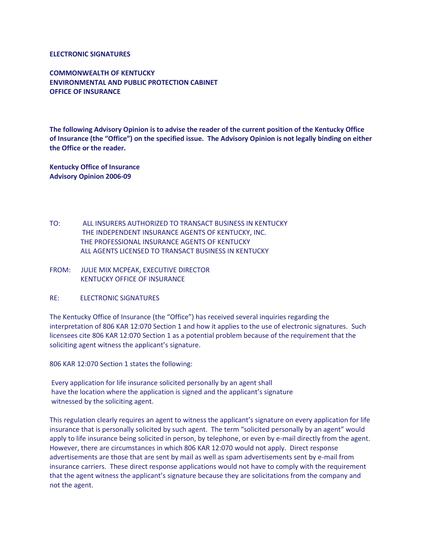## **ELECTRONIC SIGNATURES**

**COMMONWEALTH OF KENTUCKY ENVIRONMENTAL AND PUBLIC PROTECTION CABINET OFFICE OF INSURANCE**

**The following Advisory Opinion is to advise the reader of the current position of the Kentucky Office of Insurance (the "Office") on the specified issue. The Advisory Opinion is not legally binding on either the Office or the reader.**

**Kentucky Office of Insurance Advisory Opinion 2006-09**

- TO: ALL INSURERS AUTHORIZED TO TRANSACT BUSINESS IN KENTUCKY THE INDEPENDENT INSURANCE AGENTS OF KENTUCKY, INC. THE PROFESSIONAL INSURANCE AGENTS OF KENTUCKY ALL AGENTS LICENSED TO TRANSACT BUSINESS IN KENTUCKY
- FROM: JULIE MIX MCPEAK, EXECUTIVE DIRECTOR KENTUCKY OFFICE OF INSURANCE
- RE: ELECTRONIC SIGNATURES

The Kentucky Office of Insurance (the "Office") has received several inquiries regarding the interpretation of 806 KAR 12:070 Section 1 and how it applies to the use of electronic signatures. Such licensees cite 806 KAR 12:070 Section 1 as a potential problem because of the requirement that the soliciting agent witness the applicant's signature.

806 KAR 12:070 Section 1 states the following:

Every application for life insurance solicited personally by an agent shall have the location where the application is signed and the applicant's signature witnessed by the soliciting agent.

This regulation clearly requires an agent to witness the applicant's signature on every application for life insurance that is personally solicited by such agent. The term "solicited personally by an agent" would apply to life insurance being solicited in person, by telephone, or even by e-mail directly from the agent. However, there are circumstances in which 806 KAR 12:070 would not apply. Direct response advertisements are those that are sent by mail as well as spam advertisements sent by e-mail from insurance carriers. These direct response applications would not have to comply with the requirement that the agent witness the applicant's signature because they are solicitations from the company and not the agent.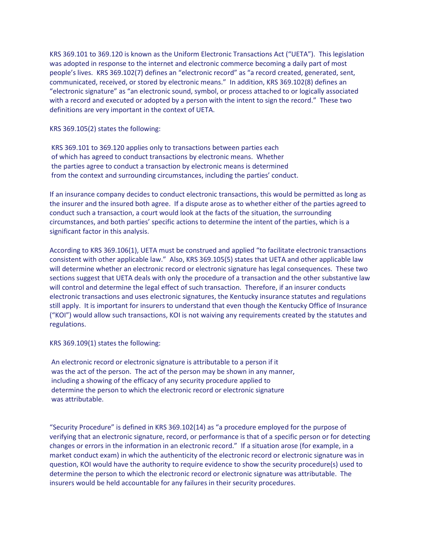KRS 369.101 to 369.120 is known as the Uniform Electronic Transactions Act ("UETA"). This legislation was adopted in response to the internet and electronic commerce becoming a daily part of most people's lives. KRS 369.102(7) defines an "electronic record" as "a record created, generated, sent, communicated, received, or stored by electronic means." In addition, KRS 369.102(8) defines an "electronic signature" as "an electronic sound, symbol, or process attached to or logically associated with a record and executed or adopted by a person with the intent to sign the record." These two definitions are very important in the context of UETA.

KRS 369.105(2) states the following:

KRS 369.101 to 369.120 applies only to transactions between parties each of which has agreed to conduct transactions by electronic means. Whether the parties agree to conduct a transaction by electronic means is determined from the context and surrounding circumstances, including the parties' conduct.

If an insurance company decides to conduct electronic transactions, this would be permitted as long as the insurer and the insured both agree. If a dispute arose as to whether either of the parties agreed to conduct such a transaction, a court would look at the facts of the situation, the surrounding circumstances, and both parties' specific actions to determine the intent of the parties, which is a significant factor in this analysis.

According to KRS 369.106(1), UETA must be construed and applied "to facilitate electronic transactions consistent with other applicable law." Also, KRS 369.105(5) states that UETA and other applicable law will determine whether an electronic record or electronic signature has legal consequences. These two sections suggest that UETA deals with only the procedure of a transaction and the other substantive law will control and determine the legal effect of such transaction. Therefore, if an insurer conducts electronic transactions and uses electronic signatures, the Kentucky insurance statutes and regulations still apply. It is important for insurers to understand that even though the Kentucky Office of Insurance ("KOI") would allow such transactions, KOI is not waiving any requirements created by the statutes and regulations.

KRS 369.109(1) states the following:

An electronic record or electronic signature is attributable to a person if it was the act of the person. The act of the person may be shown in any manner, including a showing of the efficacy of any security procedure applied to determine the person to which the electronic record or electronic signature was attributable.

"Security Procedure" is defined in KRS 369.102(14) as "a procedure employed for the purpose of verifying that an electronic signature, record, or performance is that of a specific person or for detecting changes or errors in the information in an electronic record." If a situation arose (for example, in a market conduct exam) in which the authenticity of the electronic record or electronic signature was in question, KOI would have the authority to require evidence to show the security procedure(s) used to determine the person to which the electronic record or electronic signature was attributable. The insurers would be held accountable for any failures in their security procedures.